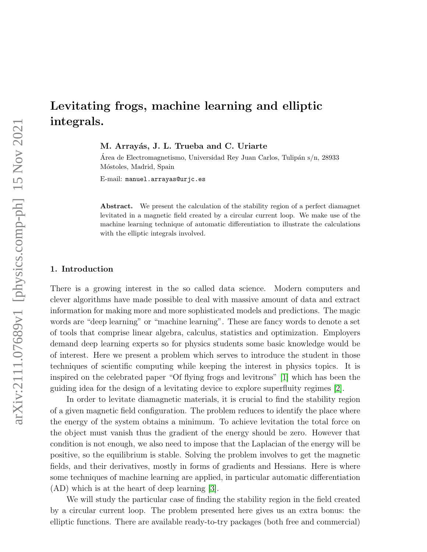# Levitating frogs, machine learning and elliptic integrals.

M. Arrayás, J. L. Trueba and C. Uriarte

Area de Electromagnetismo, Universidad Rey Juan Carlos, Tulipán s/n, 28933 Móstoles, Madrid, Spain

E-mail: manuel.arrayas@urjc.es

Abstract. We present the calculation of the stability region of a perfect diamagnet levitated in a magnetic field created by a circular current loop. We make use of the machine learning technique of automatic differentiation to illustrate the calculations with the elliptic integrals involved.

### 1. Introduction

There is a growing interest in the so called data science. Modern computers and clever algorithms have made possible to deal with massive amount of data and extract information for making more and more sophisticated models and predictions. The magic words are "deep learning" or "machine learning". These are fancy words to denote a set of tools that comprise linear algebra, calculus, statistics and optimization. Employers demand deep learning experts so for physics students some basic knowledge would be of interest. Here we present a problem which serves to introduce the student in those techniques of scientific computing while keeping the interest in physics topics. It is inspired on the celebrated paper "Of flying frogs and levitrons" [\[1\]](#page-6-0) which has been the guiding idea for the design of a levitating device to explore superfluity regimes [\[2\]](#page-6-1).

In order to levitate diamagnetic materials, it is crucial to find the stability region of a given magnetic field configuration. The problem reduces to identify the place where the energy of the system obtains a minimum. To achieve levitation the total force on the object must vanish thus the gradient of the energy should be zero. However that condition is not enough, we also need to impose that the Laplacian of the energy will be positive, so the equilibrium is stable. Solving the problem involves to get the magnetic fields, and their derivatives, mostly in forms of gradients and Hessians. Here is where some techniques of machine learning are applied, in particular automatic differentiation (AD) which is at the heart of deep learning [\[3\]](#page-6-2).

We will study the particular case of finding the stability region in the field created by a circular current loop. The problem presented here gives us an extra bonus: the elliptic functions. There are available ready-to-try packages (both free and commercial)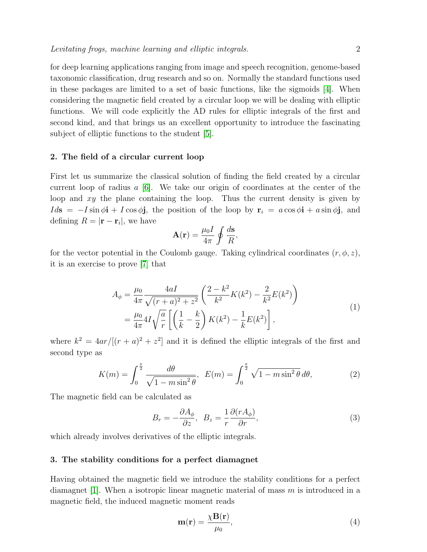for deep learning applications ranging from image and speech recognition, genome-based taxonomic classification, drug research and so on. Normally the standard functions used in these packages are limited to a set of basic functions, like the sigmoids [\[4\]](#page-6-3). When considering the magnetic field created by a circular loop we will be dealing with elliptic functions. We will code explicitly the AD rules for elliptic integrals of the first and second kind, and that brings us an excellent opportunity to introduce the fascinating subject of elliptic functions to the student [\[5\]](#page-6-4).

## 2. The field of a circular current loop

First let us summarize the classical solution of finding the field created by a circular current loop of radius  $a \neq 6$ . We take our origin of coordinates at the center of the loop and xy the plane containing the loop. Thus the current density is given by  $Ids = -I \sin \phi i + I \cos \phi j$ , the position of the loop by  $r_i = a \cos \phi i + a \sin \phi j$ , and defining  $R = |\mathbf{r} - \mathbf{r}_i|$ , we have

$$
\mathbf{A}(\mathbf{r}) = \frac{\mu_0 I}{4\pi} \oint \frac{d\mathbf{s}}{R},
$$

<span id="page-1-2"></span>for the vector potential in the Coulomb gauge. Taking cylindrical coordinates  $(r, \phi, z)$ , it is an exercise to prove [\[7\]](#page-6-6) that

$$
A_{\phi} = \frac{\mu_0}{4\pi} \frac{4aI}{\sqrt{(r+a)^2 + z^2}} \left( \frac{2 - k^2}{k^2} K(k^2) - \frac{2}{k^2} E(k^2) \right)
$$
  
= 
$$
\frac{\mu_0}{4\pi} 4I \sqrt{\frac{a}{r}} \left[ \left( \frac{1}{k} - \frac{k}{2} \right) K(k^2) - \frac{1}{k} E(k^2) \right],
$$
 (1)

where  $k^2 = 4ar/[(r+a)^2 + z^2]$  and it is defined the elliptic integrals of the first and second type as

<span id="page-1-0"></span>
$$
K(m) = \int_0^{\frac{\pi}{2}} \frac{d\theta}{\sqrt{1 - m \sin^2 \theta}}, \quad E(m) = \int_0^{\frac{\pi}{2}} \sqrt{1 - m \sin^2 \theta} \, d\theta,\tag{2}
$$

The magnetic field can be calculated as

<span id="page-1-1"></span>
$$
B_r = -\frac{\partial A_\phi}{\partial z}, \quad B_z = \frac{1}{r} \frac{\partial (r A_\phi)}{\partial r},\tag{3}
$$

which already involves derivatives of the elliptic integrals.

### 3. The stability conditions for a perfect diamagnet

Having obtained the magnetic field we introduce the stability conditions for a perfect diamagnet [\[1\]](#page-6-0). When a isotropic linear magnetic material of mass  $m$  is introduced in a magnetic field, the induced magnetic moment reads

$$
\mathbf{m}(\mathbf{r}) = \frac{\chi \mathbf{B}(\mathbf{r})}{\mu_0},\tag{4}
$$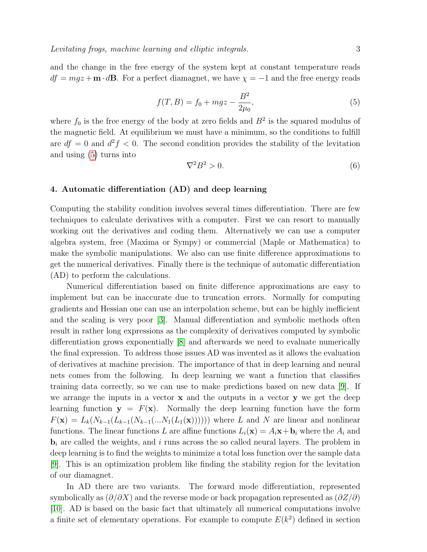<span id="page-2-0"></span>and the change in the free energy of the system kept at constant temperature reads  $df = mgz + \mathbf{m} \cdot d\mathbf{B}$ . For a perfect diamagnet, we have  $\chi = -1$  and the free energy reads

$$
f(T, B) = f_0 + mgz - \frac{B^2}{2\mu_0},
$$
\n(5)

where  $f_0$  is the free energy of the body at zero fields and  $B^2$  is the squared modulus of the magnetic field. At equilibrium we must have a minimum, so the conditions to fulfill are  $df = 0$  and  $d^2f < 0$ . The second condition provides the stability of the levitation and using [\(5\)](#page-2-0) turns into

<span id="page-2-1"></span>
$$
\nabla^2 B^2 > 0. \tag{6}
$$

## 4. Automatic differentiation (AD) and deep learning

Computing the stability condition involves several times differentiation. There are few techniques to calculate derivatives with a computer. First we can resort to manually working out the derivatives and coding them. Alternatively we can use a computer algebra system, free (Maxima or Sympy) or commercial (Maple or Mathematica) to make the symbolic manipulations. We also can use finite difference approximations to get the numerical derivatives. Finally there is the technique of automatic differentiation (AD) to perform the calculations.

Numerical differentiation based on finite difference approximations are easy to implement but can be inaccurate due to truncation errors. Normally for computing gradients and Hessian one can use an interpolation scheme, but can be highly inefficient and the scaling is very poor [\[3\]](#page-6-2). Manual differentiation and symbolic methods often result in rather long expressions as the complexity of derivatives computed by symbolic differentiation grows exponentially [\[8\]](#page-6-7) and afterwards we need to evaluate numerically the final expression. To address those issues AD was invented as it allows the evaluation of derivatives at machine precision. The importance of that in deep learning and neural nets comes from the following. In deep learning we want a function that classifies training data correctly, so we can use to make predictions based on new data [\[9\]](#page-6-8). If we arrange the inputs in a vector  $x$  and the outputs in a vector  $y$  we get the deep learning function  $y = F(x)$ . Normally the deep learning function have the form  $F(\mathbf{x}) = L_k(N_{k-1}(L_{k-1}(N_{k-1}(...N_1(L_1(\mathbf{x}))))))$  where L and N are linear and nonlinear functions. The linear functions L are affine functions  $L_i(\mathbf{x}) = A_i \mathbf{x} + \mathbf{b}_i$  where the  $A_i$  and  **are called the weights, and i runs across the so called neural layers. The problem in** deep learning is to find the weights to minimize a total loss function over the sample data [\[9\]](#page-6-8). This is an optimization problem like finding the stability region for the levitation of our diamagnet.

In AD there are two variants. The forward mode differentiation, represented symbolically as  $(\partial/\partial X)$  and the reverse mode or back propagation represented as  $(\partial Z/\partial Y)$ [\[10\]](#page-6-9). AD is based on the basic fact that ultimately all numerical computations involve a finite set of elementary operations. For example to compute  $E(k^2)$  defined in section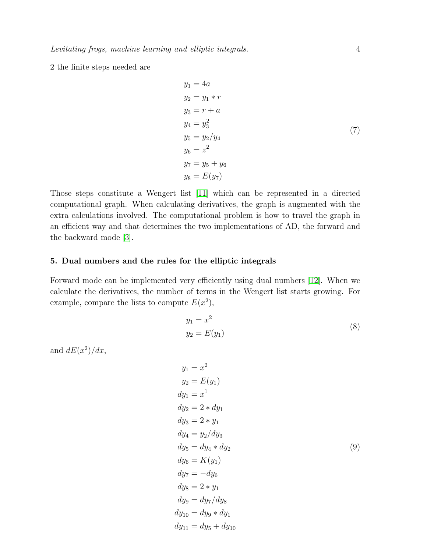2 the finite steps needed are

$$
y_1 = 4a
$$
  
\n
$$
y_2 = y_1 * r
$$
  
\n
$$
y_3 = r + a
$$
  
\n
$$
y_4 = y_3^2
$$
  
\n
$$
y_5 = y_2/y_4
$$
  
\n
$$
y_6 = z^2
$$
  
\n
$$
y_7 = y_5 + y_6
$$
  
\n
$$
y_8 = E(y_7)
$$

Those steps constitute a Wengert list [\[11\]](#page-6-10) which can be represented in a directed computational graph. When calculating derivatives, the graph is augmented with the extra calculations involved. The computational problem is how to travel the graph in an efficient way and that determines the two implementations of AD, the forward and the backward mode [\[3\]](#page-6-2).

## 5. Dual numbers and the rules for the elliptic integrals

Forward mode can be implemented very efficiently using dual numbers [\[12\]](#page-6-11). When we calculate the derivatives, the number of terms in the Wengert list starts growing. For example, compare the lists to compute  $E(x^2)$ ,

$$
y_1 = x^2
$$
  

$$
y_2 = E(y_1)
$$
 (8)

and  $dE(x^2)/dx$ ,

$$
y_1 = x^2
$$
  
\n
$$
y_2 = E(y_1)
$$
  
\n
$$
dy_1 = x^1
$$
  
\n
$$
dy_2 = 2 * dy_1
$$
  
\n
$$
dy_3 = 2 * y_1
$$
  
\n
$$
dy_4 = y_2/dy_3
$$
  
\n
$$
dy_5 = dy_4 * dy_2
$$
  
\n
$$
dy_6 = K(y_1)
$$
  
\n
$$
dy_7 = -dy_6
$$
  
\n
$$
dy_8 = 2 * y_1
$$
  
\n
$$
dy_9 = dy_7/dy_8
$$
  
\n
$$
dy_{10} = dy_9 * dy_1
$$
  
\n
$$
dy_{11} = dy_5 + dy_{10}
$$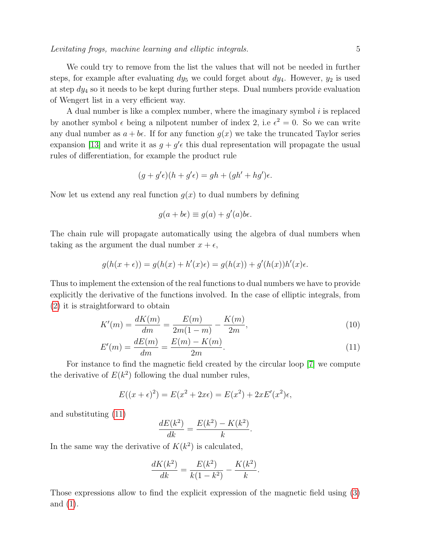A dual number is like a complex number, where the imaginary symbol  $i$  is replaced by another symbol  $\epsilon$  being a nilpotent number of index 2, i.e  $\epsilon^2 = 0$ . So we can write any dual number as  $a + b\epsilon$ . If for any function  $g(x)$  we take the truncated Taylor series expansion [\[13\]](#page-6-12) and write it as  $g + g' \epsilon$  this dual representation will propagate the usual rules of differentiation, for example the product rule

$$
(g + g'\epsilon)(h + g'\epsilon) = gh + (gh' + hg')\epsilon.
$$

Now let us extend any real function  $g(x)$  to dual numbers by defining

$$
g(a+b\epsilon) \equiv g(a) + g'(a)b\epsilon.
$$

The chain rule will propagate automatically using the algebra of dual numbers when taking as the argument the dual number  $x + \epsilon$ ,

$$
g(h(x+\epsilon)) = g(h(x) + h'(x)\epsilon) = g(h(x)) + g'(h(x))h'(x)\epsilon.
$$

Thus to implement the extension of the real functions to dual numbers we have to provide explicitly the derivative of the functions involved. In the case of elliptic integrals, from [\(2\)](#page-1-0) it is straightforward to obtain

<span id="page-4-0"></span>
$$
K'(m) = \frac{dK(m)}{dm} = \frac{E(m)}{2m(1-m)} - \frac{K(m)}{2m},\tag{10}
$$

$$
E'(m) = \frac{dE(m)}{dm} = \frac{E(m) - K(m)}{2m}.
$$
\n(11)

For instance to find the magnetic field created by the circular loop [\[7\]](#page-6-6) we compute the derivative of  $E(k^2)$  following the dual number rules,

$$
E((x + \epsilon)^2) = E(x^2 + 2x\epsilon) = E(x^2) + 2xE'(x^2)\epsilon,
$$

and substituting [\(11\)](#page-4-0)

$$
\frac{dE(k^2)}{dk} = \frac{E(k^2) - K(k^2)}{k}.
$$

In the same way the derivative of  $K(k^2)$  is calculated,

$$
\frac{dK(k^2)}{dk} = \frac{E(k^2)}{k(1-k^2)} - \frac{K(k^2)}{k}.
$$

Those expressions allow to find the explicit expression of the magnetic field using [\(3\)](#page-1-1) and [\(1\)](#page-1-2).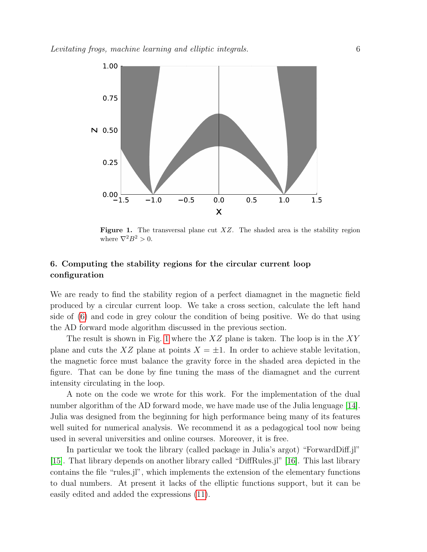

<span id="page-5-0"></span>**Figure 1.** The transversal plane cut  $XZ$ . The shaded area is the stability region where  $\nabla^2 B^2 > 0$ .

## 6. Computing the stability regions for the circular current loop configuration

We are ready to find the stability region of a perfect diamagnet in the magnetic field produced by a circular current loop. We take a cross section, calculate the left hand side of [\(6\)](#page-2-1) and code in grey colour the condition of being positive. We do that using the AD forward mode algorithm discussed in the previous section.

The result is shown in Fig. [1](#page-5-0) where the  $XZ$  plane is taken. The loop is in the  $XY$ plane and cuts the XZ plane at points  $X = \pm 1$ . In order to achieve stable levitation, the magnetic force must balance the gravity force in the shaded area depicted in the figure. That can be done by fine tuning the mass of the diamagnet and the current intensity circulating in the loop.

A note on the code we wrote for this work. For the implementation of the dual number algorithm of the AD forward mode, we have made use of the Julia lenguage [\[14\]](#page-6-13). Julia was designed from the beginning for high performance being many of its features well suited for numerical analysis. We recommend it as a pedagogical tool now being used in several universities and online courses. Moreover, it is free.

In particular we took the library (called package in Julia's argot) "ForwardDiff.jl" [\[15\]](#page-6-14). That library depends on another library called "DiffRules.jl" [\[16\]](#page-6-15). This last library contains the file "rules.jl", which implements the extension of the elementary functions to dual numbers. At present it lacks of the elliptic functions support, but it can be easily edited and added the expressions [\(11\)](#page-4-0).